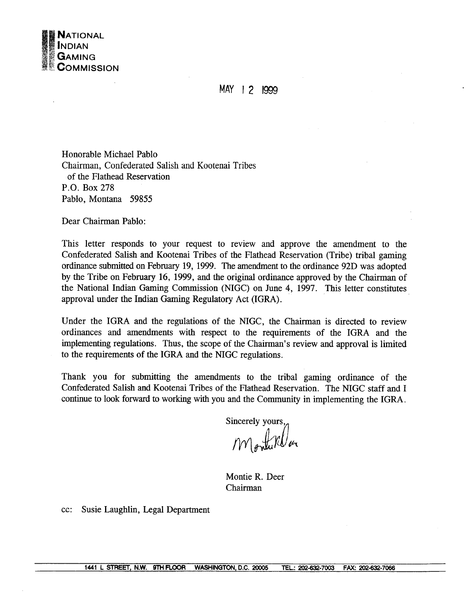

**MAY** 1 2 I999

Honorable Michael Pablo Chairman, Confederated Salish and Kootenai Tribes of the Flathead Reservation P.O. Box **278**  Pablo, Montana **59855** 

Dear Chairman Pablo:

This letter responds to your request to review and approve the amendment to the Confederated Salish and Kootenai Tribes of the Flathead Reservation (Tribe) tribal gaming ordinance submitted on February 19, 1999. The amendment to the ordinance 92D was adopted by the Tribe on February 16, 1999, and the original ordinance approved by the Chairman of the National Indian Gaming Commission (NIGC) on June 4, 1997. This letter constitutes approval under the Indian Gaming Regulatory Act (IGRA).

Under the IGRA and the regulations of the NIGC, the Chairman is directed to review ordinances and amendments with respect to the requirements of the IGRA and the implementing regulations. Thus, the scope of the Chairman's review and approval is limited to the requirements of the IGRA and the NIGC regulations.

Thank you for submitting the amendments to the tribal gaming ordinance of the Confederated Salish and Kootenai Tribes of the Flathead Reservation. The NIGC staff and I continue to look forward to working with you and the Community in implementing the IGRA.

Sincerely yours,,

Montifler

Montie R. Deer Chairman

cc: Susie Laughlin, Legal Department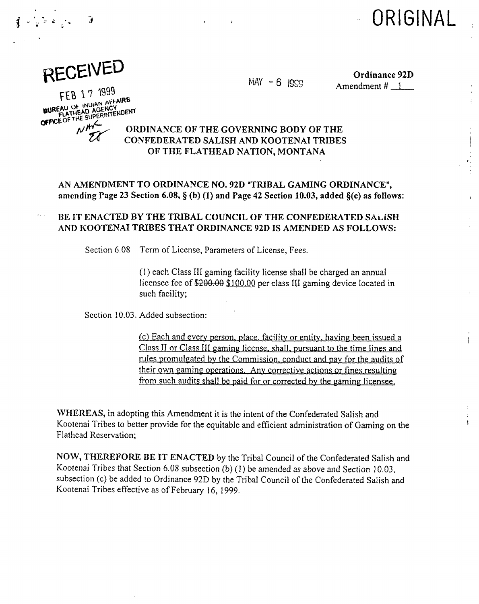



 $\frac{1}{x}$   $\frac{1}{x}$ 

 $MAY - 6$  1999  $MAY - 6$  1999  $MAY - 6$  Amendment # 1

FEB 17 1999 FEB 17 1955<br>BUREAU OF INDIAN AFFAIRS<br>CHEELATHEAD AGENCY<br>CHEELATHE SUPERINTENDENT

## ORDINANCE OF THE GOVERNING BODY OF THE CONFEDERATED SALISH AND KOOTENAI TRIBES OF THE FLATHEAD NATION, MONTANA

AN AMENDMENT TO ORDINANCE NO. 92D "TRIBAL GAMING ORDINANCE", amending Page 23 Section 6.08,  $\S$  (b) (1) and Page 42 Section 10.03, added  $\S$ (c) as follows:

## BE IT ENACTED BY THE TRIBAL COUNCIL OF THE CONFEDERATED SALISH AND KOOTENAI TRIBES THAT ORDINANCE 92D IS AMENDED AS FOLLOWS:

Section 6.08 Term of License, Parameters of License, Fees.

(1) each Class I11 gaming facility license shall be charged an annual licensee fee of  $200.00$   $100.00$  per class III gaming device located in such facility;

Section 10.03. Added subsection:

(c) Each and every person, place, facility or entity, having been issued a Class II or Class III gaming license, shall, pursuant to the time lines and rules promulgated by the Commission. conduct and pav for the audits of their own gamin? operations. **Anv** corrective actions or fines resulting from such audits shall be paid for or corrected by the gaming licensee.

WHEREAS, in adopting this Amendment it is the intent of the Confederated Salish and Kootenai Tribes to better provide for the equitable and efficient administration of Gaming on the Flathead Reservation;

NOW, THEREFORE BE IT ENACTED by the Tribal Council of the Confederated Salish and Kootenai Tribes that Section 6.08 subsection (b) (1) be amended as above and Section 10.03, subsection (c) be added to Ordinance 92D by the Tribal Council of the Confederated Salish and Kootenni Tribes effective as of February 16, 1999.